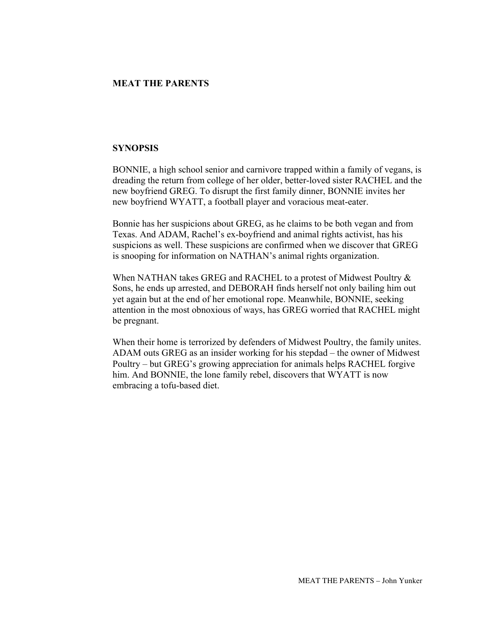## **MEAT THE PARENTS**

## **SYNOPSIS**

BONNIE, a high school senior and carnivore trapped within a family of vegans, is dreading the return from college of her older, better-loved sister RACHEL and the new boyfriend GREG. To disrupt the first family dinner, BONNIE invites her new boyfriend WYATT, a football player and voracious meat-eater.

Bonnie has her suspicions about GREG, as he claims to be both vegan and from Texas. And ADAM, Rachel's ex-boyfriend and animal rights activist, has his suspicions as well. These suspicions are confirmed when we discover that GREG is snooping for information on NATHAN's animal rights organization.

When NATHAN takes GREG and RACHEL to a protest of Midwest Poultry  $\&$ Sons, he ends up arrested, and DEBORAH finds herself not only bailing him out yet again but at the end of her emotional rope. Meanwhile, BONNIE, seeking attention in the most obnoxious of ways, has GREG worried that RACHEL might be pregnant.

When their home is terrorized by defenders of Midwest Poultry, the family unites. ADAM outs GREG as an insider working for his stepdad – the owner of Midwest Poultry – but GREG's growing appreciation for animals helps RACHEL forgive him. And BONNIE, the lone family rebel, discovers that WYATT is now embracing a tofu-based diet.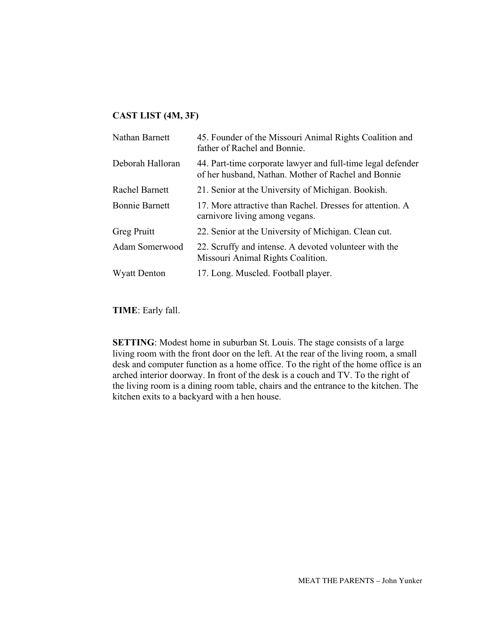## **CAST LIST (4M, 3F)**

| Nathan Barnett        | 45. Founder of the Missouri Animal Rights Coalition and<br>father of Rachel and Bonnie.                            |
|-----------------------|--------------------------------------------------------------------------------------------------------------------|
| Deborah Halloran      | 44. Part-time corporate lawyer and full-time legal defender<br>of her husband, Nathan. Mother of Rachel and Bonnie |
| <b>Rachel Barnett</b> | 21. Senior at the University of Michigan. Bookish.                                                                 |
| <b>Bonnie Barnett</b> | 17. More attractive than Rachel. Dresses for attention. A<br>carnivore living among vegans.                        |
| Greg Pruitt           | 22. Senior at the University of Michigan. Clean cut.                                                               |
| Adam Somerwood        | 22. Scruffy and intense. A devoted volunteer with the<br>Missouri Animal Rights Coalition.                         |
| <b>Wyatt Denton</b>   | 17. Long. Muscled. Football player.                                                                                |
|                       |                                                                                                                    |

**TIME**: Early fall.

**SETTING**: Modest home in suburban St. Louis. The stage consists of a large living room with the front door on the left. At the rear of the living room, a small desk and computer function as a home office. To the right of the home office is an arched interior doorway. In front of the desk is a couch and TV. To the right of the living room is a dining room table, chairs and the entrance to the kitchen. The kitchen exits to a backyard with a hen house.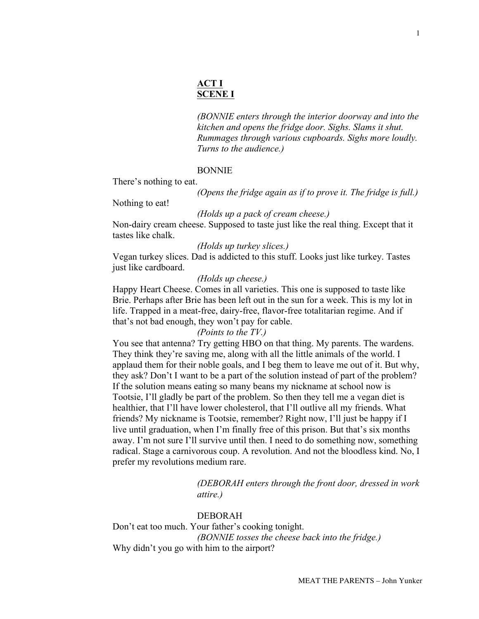## **ACT I SCENE I**

*(BONNIE enters through the interior doorway and into the kitchen and opens the fridge door. Sighs. Slams it shut. Rummages through various cupboards. Sighs more loudly. Turns to the audience.)*

### BONNIE

There's nothing to eat.

*(Opens the fridge again as if to prove it. The fridge is full.)*

Nothing to eat!

#### *(Holds up a pack of cream cheese.)*

Non-dairy cream cheese. Supposed to taste just like the real thing. Except that it tastes like chalk.

*(Holds up turkey slices.)*

Vegan turkey slices. Dad is addicted to this stuff. Looks just like turkey. Tastes just like cardboard.

### *(Holds up cheese.)*

Happy Heart Cheese. Comes in all varieties. This one is supposed to taste like Brie. Perhaps after Brie has been left out in the sun for a week. This is my lot in life. Trapped in a meat-free, dairy-free, flavor-free totalitarian regime. And if that's not bad enough, they won't pay for cable.

## *(Points to the TV.)*

You see that antenna? Try getting HBO on that thing. My parents. The wardens. They think they're saving me, along with all the little animals of the world. I applaud them for their noble goals, and I beg them to leave me out of it. But why, they ask? Don't I want to be a part of the solution instead of part of the problem? If the solution means eating so many beans my nickname at school now is Tootsie, I'll gladly be part of the problem. So then they tell me a vegan diet is healthier, that I'll have lower cholesterol, that I'll outlive all my friends. What friends? My nickname is Tootsie, remember? Right now, I'll just be happy if I live until graduation, when I'm finally free of this prison. But that's six months away. I'm not sure I'll survive until then. I need to do something now, something radical. Stage a carnivorous coup. A revolution. And not the bloodless kind. No, I prefer my revolutions medium rare.

> *(DEBORAH enters through the front door, dressed in work attire.)*

## DEBORAH

Don't eat too much. Your father's cooking tonight. *(BONNIE tosses the cheese back into the fridge.)* Why didn't you go with him to the airport?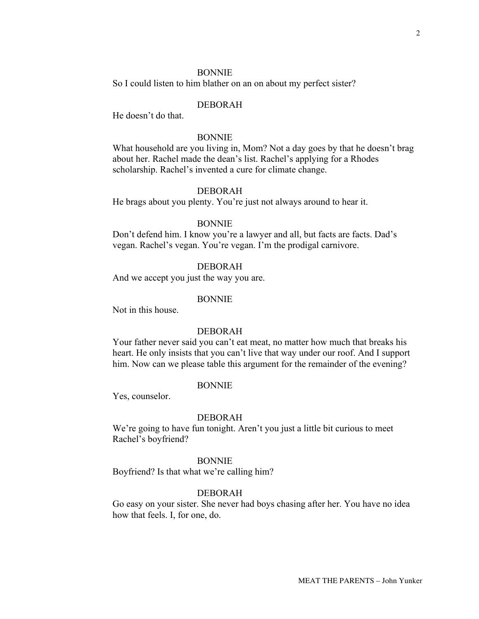### **BONNIE**

So I could listen to him blather on an on about my perfect sister?

## DEBORAH

He doesn't do that.

### BONNIE

What household are you living in, Mom? Not a day goes by that he doesn't brag about her. Rachel made the dean's list. Rachel's applying for a Rhodes scholarship. Rachel's invented a cure for climate change.

### DEBORAH

He brags about you plenty. You're just not always around to hear it.

## BONNIE

Don't defend him. I know you're a lawyer and all, but facts are facts. Dad's vegan. Rachel's vegan. You're vegan. I'm the prodigal carnivore.

### DEBORAH

And we accept you just the way you are.

#### BONNIE

Not in this house.

## DEBORAH

Your father never said you can't eat meat, no matter how much that breaks his heart. He only insists that you can't live that way under our roof. And I support him. Now can we please table this argument for the remainder of the evening?

#### BONNIE

Yes, counselor.

#### DEBORAH

We're going to have fun tonight. Aren't you just a little bit curious to meet Rachel's boyfriend?

#### BONNIE

Boyfriend? Is that what we're calling him?

#### DEBORAH

Go easy on your sister. She never had boys chasing after her. You have no idea how that feels. I, for one, do.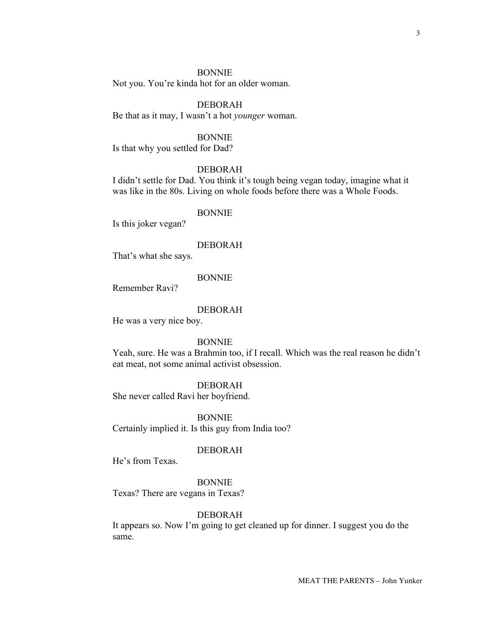### BONNIE

Not you. You're kinda hot for an older woman.

## DEBORAH

Be that as it may, I wasn't a hot *younger* woman.

## BONNIE

Is that why you settled for Dad?

### DEBORAH

I didn't settle for Dad. You think it's tough being vegan today, imagine what it was like in the 80s. Living on whole foods before there was a Whole Foods.

### BONNIE

Is this joker vegan?

## DEBORAH

That's what she says.

### BONNIE

Remember Ravi?

#### DEBORAH

He was a very nice boy.

### BONNIE

Yeah, sure. He was a Brahmin too, if I recall. Which was the real reason he didn't eat meat, not some animal activist obsession.

#### DEBORAH

She never called Ravi her boyfriend.

BONNIE Certainly implied it. Is this guy from India too?

#### DEBORAH

He's from Texas.

BONNIE Texas? There are vegans in Texas?

### DEBORAH

It appears so. Now I'm going to get cleaned up for dinner. I suggest you do the same.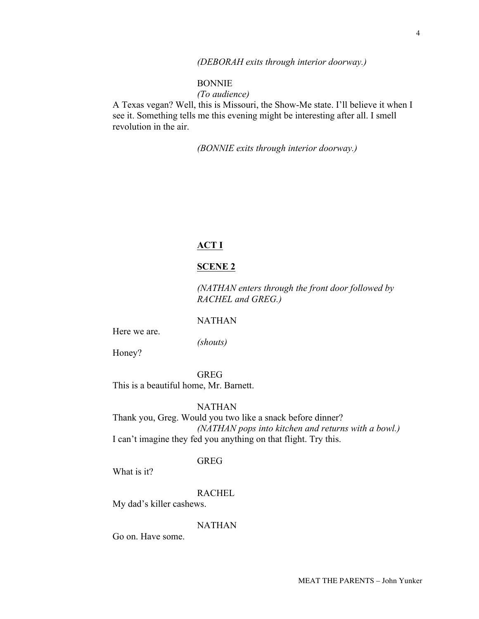### *(DEBORAH exits through interior doorway.)*

## BONNIE

*(To audience)*

A Texas vegan? Well, this is Missouri, the Show-Me state. I'll believe it when I see it. Something tells me this evening might be interesting after all. I smell revolution in the air.

*(BONNIE exits through interior doorway.)*

# **ACT I**

## **SCENE 2**

*(NATHAN enters through the front door followed by RACHEL and GREG.)*

NATHAN

Here we are.

*(shouts)*

Honey?

GREG This is a beautiful home, Mr. Barnett.

NATHAN

Thank you, Greg. Would you two like a snack before dinner? *(NATHAN pops into kitchen and returns with a bowl.)* I can't imagine they fed you anything on that flight. Try this.

### GREG

What is it?

RACHEL

My dad's killer cashews.

### NATHAN

Go on. Have some.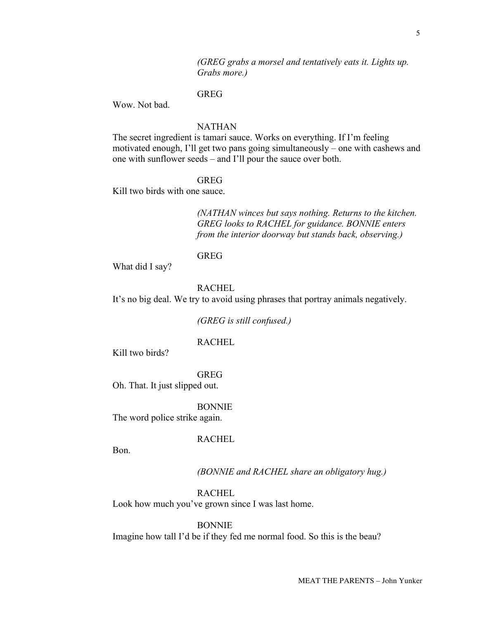5

*(GREG grabs a morsel and tentatively eats it. Lights up. Grabs more.)*

## GREG

Wow. Not bad.

## NATHAN

The secret ingredient is tamari sauce. Works on everything. If I'm feeling motivated enough, I'll get two pans going simultaneously – one with cashews and one with sunflower seeds – and I'll pour the sauce over both.

### GREG

Kill two birds with one sauce.

*(NATHAN winces but says nothing. Returns to the kitchen. GREG looks to RACHEL for guidance. BONNIE enters from the interior doorway but stands back, observing.)*

#### GREG

What did I say?

## RACHEL

It's no big deal. We try to avoid using phrases that portray animals negatively.

*(GREG is still confused.)*

### RACHEL

Kill two birds?

GREG

Oh. That. It just slipped out.

BONNIE

The word police strike again.

## RACHEL

Bon.

### *(BONNIE and RACHEL share an obligatory hug.)*

RACHEL

Look how much you've grown since I was last home.

### BONNIE

Imagine how tall I'd be if they fed me normal food. So this is the beau?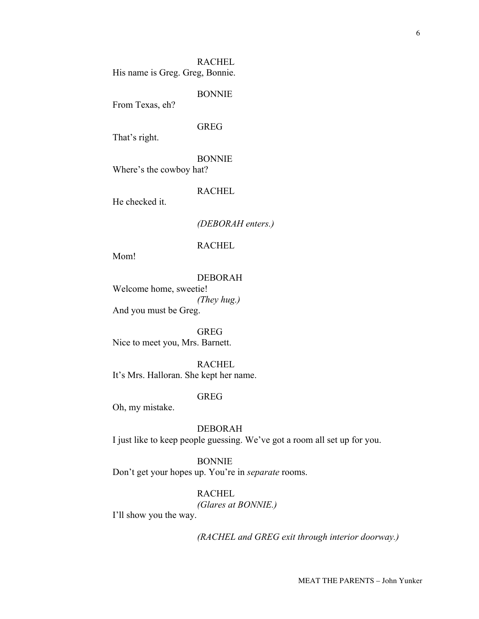RACHEL His name is Greg. Greg, Bonnie.

BONNIE

From Texas, eh?

### GREG

That's right.

## BONNIE

Where's the cowboy hat?

## RACHEL

He checked it.

## *(DEBORAH enters.)*

RACHEL

Mom!

### DEBORAH

Welcome home, sweetie! *(They hug.)* And you must be Greg.

GREG Nice to meet you, Mrs. Barnett.

RACHEL It's Mrs. Halloran. She kept her name.

## GREG

Oh, my mistake.

DEBORAH I just like to keep people guessing. We've got a room all set up for you.

#### BONNIE

Don't get your hopes up. You're in *separate* rooms.

RACHEL

*(Glares at BONNIE.)*

I'll show you the way.

*(RACHEL and GREG exit through interior doorway.)*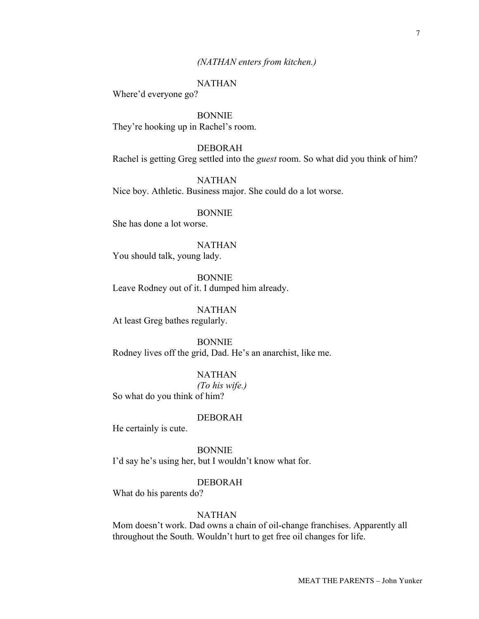### *(NATHAN enters from kitchen.)*

## NATHAN

Where'd everyone go?

BONNIE They're hooking up in Rachel's room.

DEBORAH Rachel is getting Greg settled into the *guest* room. So what did you think of him?

NATHAN Nice boy. Athletic. Business major. She could do a lot worse.

### BONNIE

She has done a lot worse.

# NATHAN

You should talk, young lady.

BONNIE Leave Rodney out of it. I dumped him already.

NATHAN At least Greg bathes regularly.

BONNIE Rodney lives off the grid, Dad. He's an anarchist, like me.

NATHAN *(To his wife.)* So what do you think of him?

## DEBORAH

He certainly is cute.

BONNIE I'd say he's using her, but I wouldn't know what for.

## DEBORAH

What do his parents do?

### NATHAN

Mom doesn't work. Dad owns a chain of oil-change franchises. Apparently all throughout the South. Wouldn't hurt to get free oil changes for life.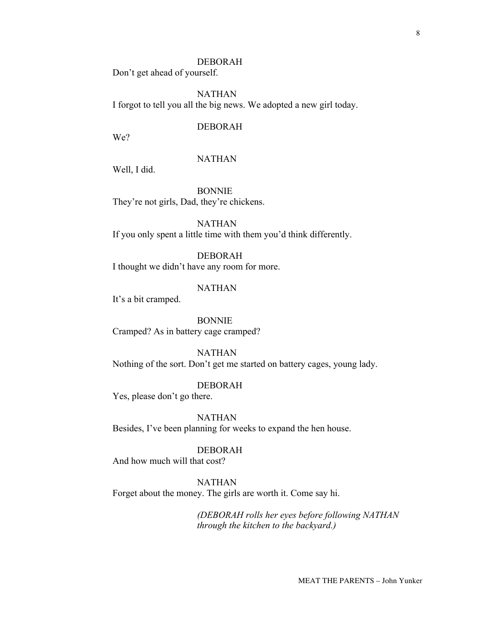### DEBORAH

Don't get ahead of yourself.

NATHAN I forgot to tell you all the big news. We adopted a new girl today.

## DEBORAH

We?

## NATHAN

Well, I did.

BONNIE They're not girls, Dad, they're chickens.

NATHAN If you only spent a little time with them you'd think differently.

DEBORAH I thought we didn't have any room for more.

## NATHAN

It's a bit cramped.

BONNIE Cramped? As in battery cage cramped?

NATHAN Nothing of the sort. Don't get me started on battery cages, young lady.

DEBORAH Yes, please don't go there.

NATHAN Besides, I've been planning for weeks to expand the hen house.

DEBORAH And how much will that cost?

NATHAN Forget about the money. The girls are worth it. Come say hi.

> *(DEBORAH rolls her eyes before following NATHAN through the kitchen to the backyard.)*

> > MEAT THE PARENTS – John Yunker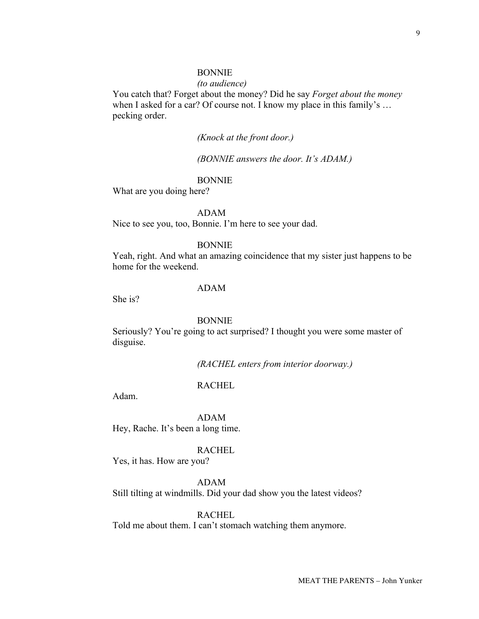### BONNIE

#### *(to audience)*

You catch that? Forget about the money? Did he say *Forget about the money* when I asked for a car? Of course not. I know my place in this family's ... pecking order.

## *(Knock at the front door.)*

*(BONNIE answers the door. It's ADAM.)*

## BONNIE

What are you doing here?

#### ADAM

Nice to see you, too, Bonnie. I'm here to see your dad.

#### BONNIE

Yeah, right. And what an amazing coincidence that my sister just happens to be home for the weekend.

## ADAM

She is?

#### **BONNIE**

Seriously? You're going to act surprised? I thought you were some master of disguise.

*(RACHEL enters from interior doorway.)*

## RACHEL

Adam.

## ADAM

Hey, Rache. It's been a long time.

#### RACHEL

Yes, it has. How are you?

## ADAM

Still tilting at windmills. Did your dad show you the latest videos?

RACHEL

Told me about them. I can't stomach watching them anymore.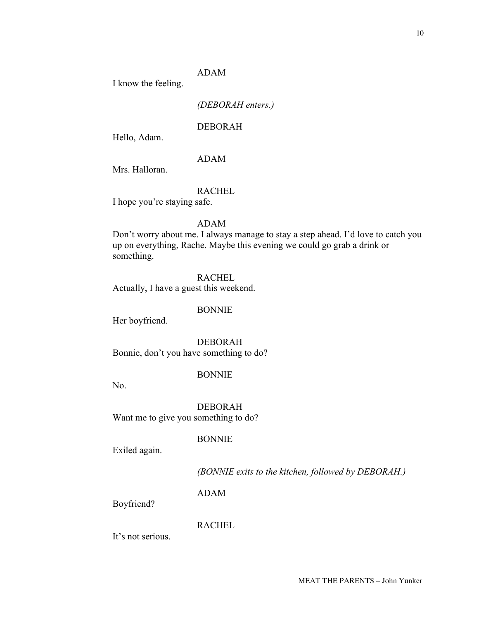## ADAM

I know the feeling.

## *(DEBORAH enters.)*

## DEBORAH

Hello, Adam.

## ADAM

Mrs. Halloran.

## RACHEL

I hope you're staying safe.

## ADAM

Don't worry about me. I always manage to stay a step ahead. I'd love to catch you up on everything, Rache. Maybe this evening we could go grab a drink or something.

### RACHEL

Actually, I have a guest this weekend.

## BONNIE

Her boyfriend.

DEBORAH Bonnie, don't you have something to do?

## BONNIE

No.

DEBORAH Want me to give you something to do?

BONNIE

Exiled again.

*(BONNIE exits to the kitchen, followed by DEBORAH.)*

ADAM

Boyfriend?

## RACHEL

It's not serious.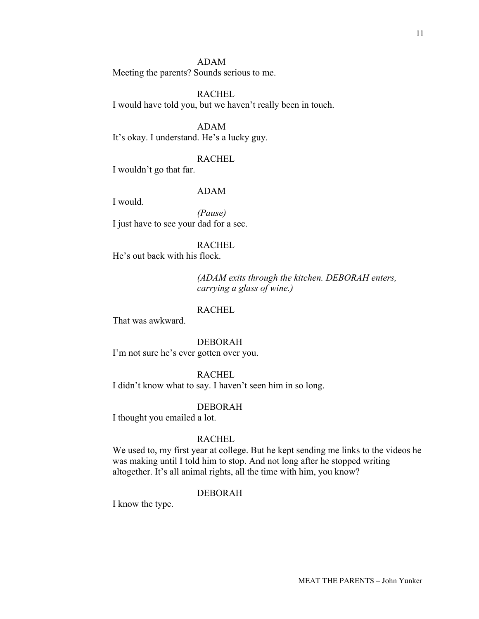### ADAM

Meeting the parents? Sounds serious to me.

### RACHEL

I would have told you, but we haven't really been in touch.

ADAM It's okay. I understand. He's a lucky guy.

### RACHEL

I wouldn't go that far.

# ADAM

I would.

*(Pause)* I just have to see your dad for a sec.

### RACHEL

He's out back with his flock.

*(ADAM exits through the kitchen. DEBORAH enters, carrying a glass of wine.)*

## RACHEL

That was awkward.

#### DEBORAH

I'm not sure he's ever gotten over you.

## RACHEL

I didn't know what to say. I haven't seen him in so long.

#### DEBORAH

I thought you emailed a lot.

## RACHEL

We used to, my first year at college. But he kept sending me links to the videos he was making until I told him to stop. And not long after he stopped writing altogether. It's all animal rights, all the time with him, you know?

#### DEBORAH

I know the type.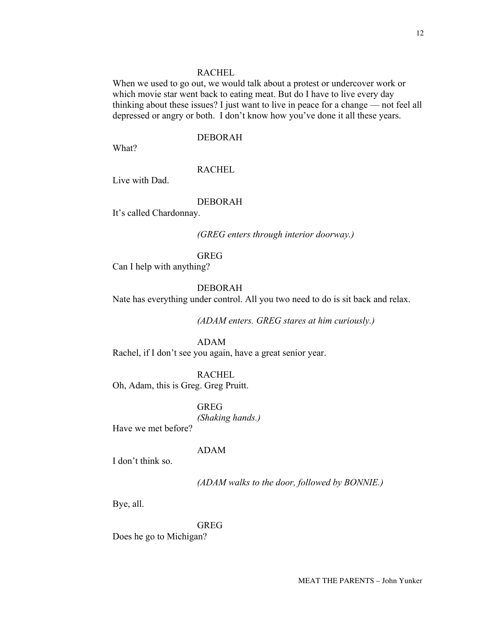#### RACHEL

When we used to go out, we would talk about a protest or undercover work or which movie star went back to eating meat. But do I have to live every day thinking about these issues? I just want to live in peace for a change — not feel all depressed or angry or both. I don't know how you've done it all these years.

### DEBORAH

What?

### RACHEL

Live with Dad.

### DEBORAH

It's called Chardonnay.

*(GREG enters through interior doorway.)*

### GREG

Can I help with anything?

## DEBORAH

Nate has everything under control. All you two need to do is sit back and relax.

*(ADAM enters. GREG stares at him curiously.)*

### ADAM

Rachel, if I don't see you again, have a great senior year.

RACHEL

Oh, Adam, this is Greg. Greg Pruitt.

GREG *(Shaking hands.)*

Have we met before?

### ADAM

I don't think so.

*(ADAM walks to the door, followed by BONNIE.)*

Bye, all.

## GREG

Does he go to Michigan?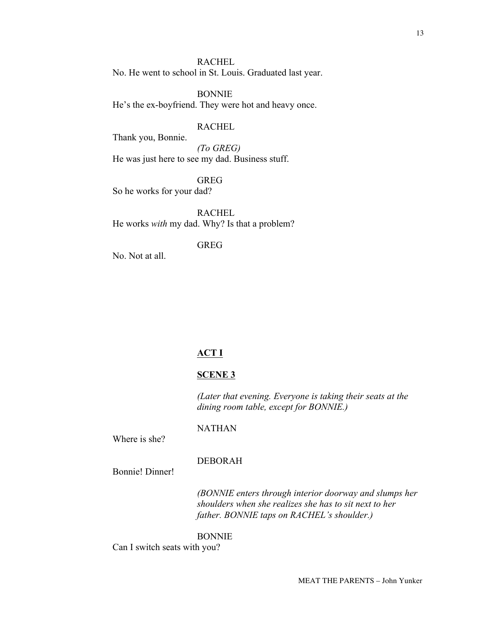RACHEL

No. He went to school in St. Louis. Graduated last year.

BONNIE He's the ex-boyfriend. They were hot and heavy once.

## RACHEL

Thank you, Bonnie.

*(To GREG)* He was just here to see my dad. Business stuff.

GREG

So he works for your dad?

RACHEL He works *with* my dad. Why? Is that a problem?

GREG

No. Not at all.

## **ACT I**

## **SCENE 3**

NATHAN

*(Later that evening. Everyone is taking their seats at the dining room table, except for BONNIE.)*

Where is she?

### DEBORAH

Bonnie! Dinner!

*(BONNIE enters through interior doorway and slumps her shoulders when she realizes she has to sit next to her father. BONNIE taps on RACHEL's shoulder.)*

### BONNIE

Can I switch seats with you?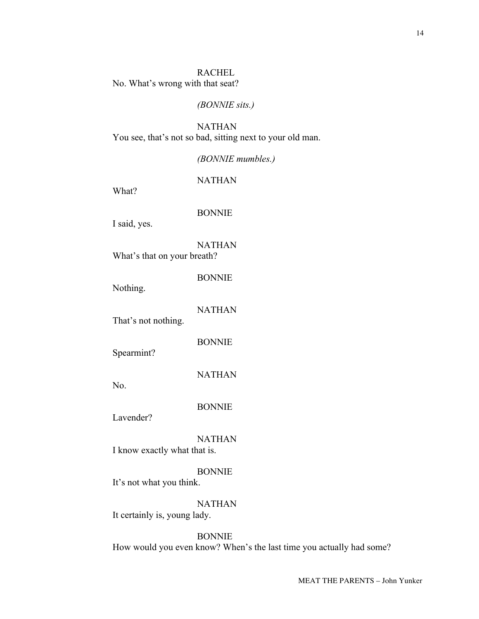### RACHEL

No. What's wrong with that seat?

## *(BONNIE sits.)*

NATHAN You see, that's not so bad, sitting next to your old man.

## *(BONNIE mumbles.)*

NATHAN

What?

### BONNIE

I said, yes.

NATHAN What's that on your breath?

BONNIE

Nothing.

NATHAN

That's not nothing.

BONNIE

Spearmint?

NATHAN

No.

BONNIE

Lavender?

NATHAN

I know exactly what that is.

# BONNIE

It's not what you think.

## NATHAN

It certainly is, young lady.

# BONNIE

How would you even know? When's the last time you actually had some?